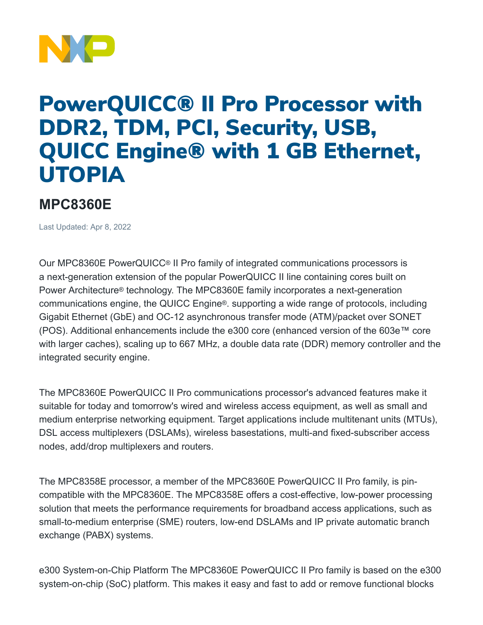

## PowerQUICC® II Pro Processor with DDR2, TDM, PCI, Security, USB, QUICC Engine® with 1 GB Ethernet, UTOPIA

## **MPC8360E**

Last Updated: Apr 8, 2022

Our MPC8360E PowerQUICC® II Pro family of integrated communications processors is a next-generation extension of the popular PowerQUICC II line containing cores built on Power Architecture® technology. The MPC8360E family incorporates a next-generation communications engine, the QUICC Engine®. supporting a wide range of protocols, including Gigabit Ethernet (GbE) and OC-12 asynchronous transfer mode (ATM)/packet over SONET (POS). Additional enhancements include the e300 core (enhanced version of the 603e™ core with larger caches), scaling up to 667 MHz, a double data rate (DDR) memory controller and the integrated security engine.

The MPC8360E PowerQUICC II Pro communications processor's advanced features make it suitable for today and tomorrow's wired and wireless access equipment, as well as small and medium enterprise networking equipment. Target applications include multitenant units (MTUs), DSL access multiplexers (DSLAMs), wireless basestations, multi-and fixed-subscriber access nodes, add/drop multiplexers and routers.

The MPC8358E processor, a member of the MPC8360E PowerQUICC II Pro family, is pincompatible with the MPC8360E. The MPC8358E offers a cost-effective, low-power processing solution that meets the performance requirements for broadband access applications, such as small-to-medium enterprise (SME) routers, low-end DSLAMs and IP private automatic branch exchange (PABX) systems.

e300 System-on-Chip Platform The MPC8360E PowerQUICC II Pro family is based on the e300 system-on-chip (SoC) platform. This makes it easy and fast to add or remove functional blocks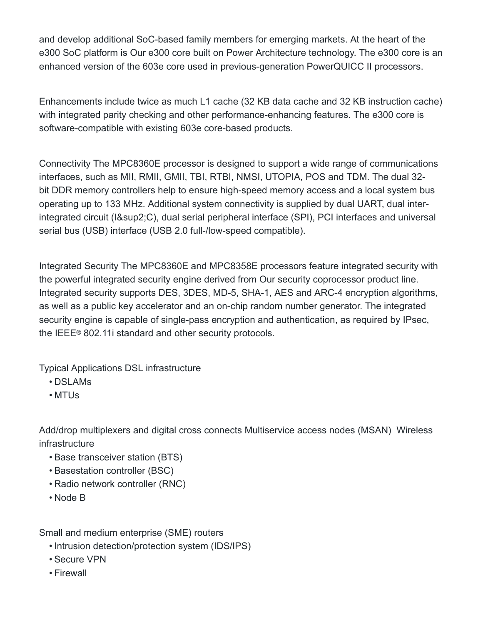and develop additional SoC-based family members for emerging markets. At the heart of the e300 SoC platform is Our e300 core built on Power Architecture technology. The e300 core is an enhanced version of the 603e core used in previous-generation PowerQUICC II processors.

Enhancements include twice as much L1 cache (32 KB data cache and 32 KB instruction cache) with integrated parity checking and other performance-enhancing features. The e300 core is software-compatible with existing 603e core-based products.

Connectivity The MPC8360E processor is designed to support a wide range of communications interfaces, such as MII, RMII, GMII, TBI, RTBI, NMSI, UTOPIA, POS and TDM. The dual 32 bit DDR memory controllers help to ensure high-speed memory access and a local system bus operating up to 133 MHz. Additional system connectivity is supplied by dual UART, dual interintegrated circuit (I²C), dual serial peripheral interface (SPI), PCI interfaces and universal serial bus (USB) interface (USB 2.0 full-/low-speed compatible).

Integrated Security The MPC8360E and MPC8358E processors feature integrated security with the powerful integrated security engine derived from Our security coprocessor product line. Integrated security supports DES, 3DES, MD-5, SHA-1, AES and ARC-4 encryption algorithms, as well as a public key accelerator and an on-chip random number generator. The integrated security engine is capable of single-pass encryption and authentication, as required by IPsec, the IEEE® 802.11i standard and other security protocols.

Typical Applications DSL infrastructure

- DSLAMs
- MTUs

Add/drop multiplexers and digital cross connects Multiservice access nodes (MSAN) Wireless infrastructure

- Base transceiver station (BTS)
- Basestation controller (BSC)
- Radio network controller (RNC)
- Node B

Small and medium enterprise (SME) routers

- Intrusion detection/protection system (IDS/IPS)
- Secure VPN
- Firewall